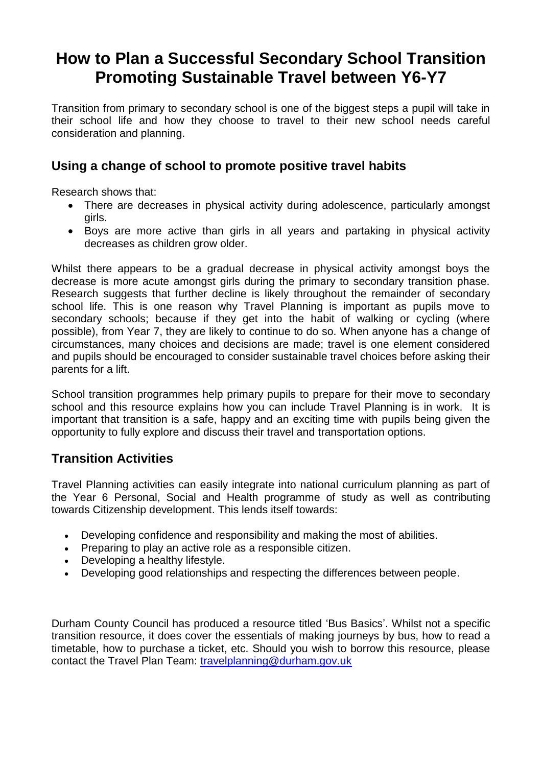# **How to Plan a Successful Secondary School Transition Promoting Sustainable Travel between Y6-Y7**

Transition from primary to secondary school is one of the biggest steps a pupil will take in their school life and how they choose to travel to their new school needs careful consideration and planning.

### **Using a change of school to promote positive travel habits**

Research shows that:

- There are decreases in physical activity during adolescence, particularly amongst girls.
- Boys are more active than girls in all years and partaking in physical activity decreases as children grow older.

Whilst there appears to be a gradual decrease in physical activity amongst boys the decrease is more acute amongst girls during the primary to secondary transition phase. Research suggests that further decline is likely throughout the remainder of secondary school life. This is one reason why Travel Planning is important as pupils move to secondary schools; because if they get into the habit of walking or cycling (where possible), from Year 7, they are likely to continue to do so. When anyone has a change of circumstances, many choices and decisions are made; travel is one element considered and pupils should be encouraged to consider sustainable travel choices before asking their parents for a lift.

School transition programmes help primary pupils to prepare for their move to secondary school and this resource explains how you can include Travel Planning is in work. It is important that transition is a safe, happy and an exciting time with pupils being given the opportunity to fully explore and discuss their travel and transportation options.

## **Transition Activities**

Travel Planning activities can easily integrate into national curriculum planning as part of the Year 6 Personal, Social and Health programme of study as well as contributing towards Citizenship development. This lends itself towards:

- Developing confidence and responsibility and making the most of abilities.
- Preparing to play an active role as a responsible citizen.
- Developing a healthy lifestyle.
- Developing good relationships and respecting the differences between people.

Durham County Council has produced a resource titled 'Bus Basics'. Whilst not a specific transition resource, it does cover the essentials of making journeys by bus, how to read a timetable, how to purchase a ticket, etc. Should you wish to borrow this resource, please contact the Travel Plan Team:<travelplanning@durham.gov.uk>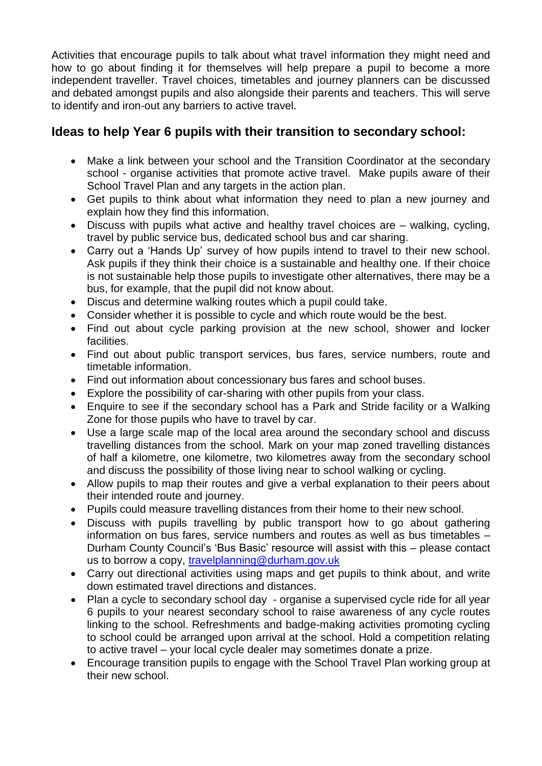Activities that encourage pupils to talk about what travel information they might need and how to go about finding it for themselves will help prepare a pupil to become a more independent traveller. Travel choices, timetables and journey planners can be discussed and debated amongst pupils and also alongside their parents and teachers. This will serve to identify and iron-out any barriers to active travel.

## **Ideas to help Year 6 pupils with their transition to secondary school:**

- Make a link between your school and the Transition Coordinator at the secondary school - organise activities that promote active travel. Make pupils aware of their School Travel Plan and any targets in the action plan.
- Get pupils to think about what information they need to plan a new journey and explain how they find this information.
- Discuss with pupils what active and healthy travel choices are walking, cycling, travel by public service bus, dedicated school bus and car sharing.
- Carry out a 'Hands Up' survey of how pupils intend to travel to their new school. Ask pupils if they think their choice is a sustainable and healthy one. If their choice is not sustainable help those pupils to investigate other alternatives, there may be a bus, for example, that the pupil did not know about.
- Discus and determine walking routes which a pupil could take.
- Consider whether it is possible to cycle and which route would be the best.
- Find out about cycle parking provision at the new school, shower and locker facilities.
- Find out about public transport services, bus fares, service numbers, route and timetable information.
- Find out information about concessionary bus fares and school buses.
- Explore the possibility of car-sharing with other pupils from your class.
- Enquire to see if the secondary school has a Park and Stride facility or a Walking Zone for those pupils who have to travel by car.
- Use a large scale map of the local area around the secondary school and discuss travelling distances from the school. Mark on your map zoned travelling distances of half a kilometre, one kilometre, two kilometres away from the secondary school and discuss the possibility of those living near to school walking or cycling.
- Allow pupils to map their routes and give a verbal explanation to their peers about their intended route and journey.
- Pupils could measure travelling distances from their home to their new school.
- Discuss with pupils travelling by public transport how to go about gathering information on bus fares, service numbers and routes as well as bus timetables – Durham County Council's 'Bus Basic' resource will assist with this – please contact us to borrow a copy, [travelplanning@durham.gov.uk](mailto:travelplanning@durham.gov.uk)
- Carry out directional activities using maps and get pupils to think about, and write down estimated travel directions and distances.
- Plan a cycle to secondary school day organise a supervised cycle ride for all year 6 pupils to your nearest secondary school to raise awareness of any cycle routes linking to the school. Refreshments and badge-making activities promoting cycling to school could be arranged upon arrival at the school. Hold a competition relating to active travel – your local cycle dealer may sometimes donate a prize.
- Encourage transition pupils to engage with the School Travel Plan working group at their new school.